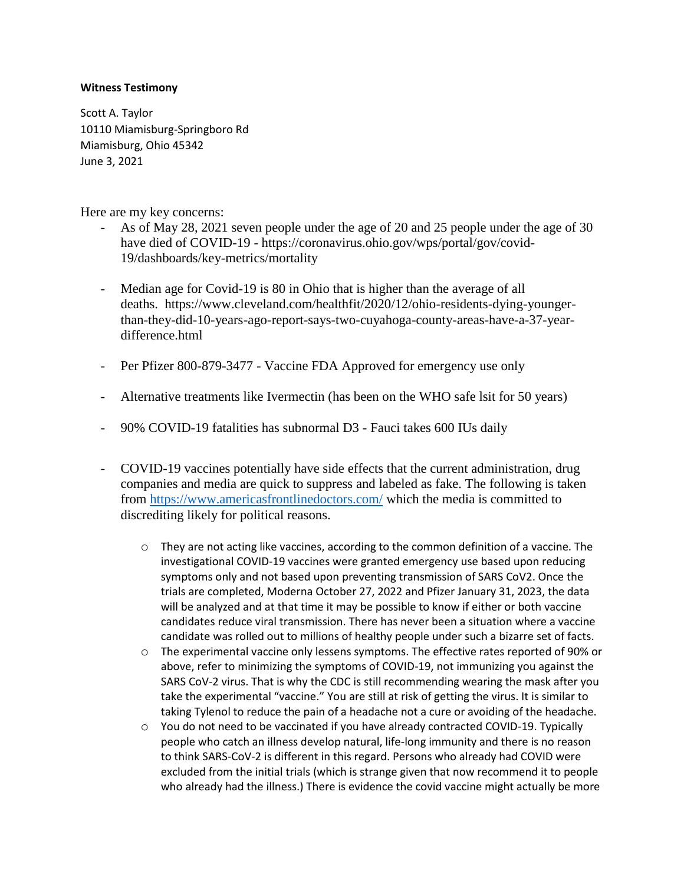## **Witness Testimony**

Scott A. Taylor 10110 Miamisburg-Springboro Rd Miamisburg, Ohio 45342 June 3, 2021

Here are my key concerns:

- As of May 28, 2021 seven people under the age of 20 and 25 people under the age of 30 have died of COVID-19 - https://coronavirus.ohio.gov/wps/portal/gov/covid-19/dashboards/key-metrics/mortality
- Median age for Covid-19 is 80 in Ohio that is higher than the average of all deaths. https://www.cleveland.com/healthfit/2020/12/ohio-residents-dying-youngerthan-they-did-10-years-ago-report-says-two-cuyahoga-county-areas-have-a-37-yeardifference.html
- Per Pfizer 800-879-3477 Vaccine FDA Approved for emergency use only
- Alternative treatments like Ivermectin (has been on the WHO safe lsit for 50 years)
- 90% COVID-19 fatalities has subnormal D3 Fauci takes 600 IUs daily
- COVID-19 vaccines potentially have side effects that the current administration, drug companies and media are quick to suppress and labeled as fake. The following is taken from<https://www.americasfrontlinedoctors.com/> which the media is committed to discrediting likely for political reasons.
	- $\circ$  They are not acting like vaccines, according to the common definition of a vaccine. The investigational COVID-19 vaccines were granted emergency use based upon reducing symptoms only and not based upon preventing transmission of SARS CoV2. Once the trials are completed, Moderna October 27, 2022 and Pfizer January 31, 2023, the data will be analyzed and at that time it may be possible to know if either or both vaccine candidates reduce viral transmission. There has never been a situation where a vaccine candidate was rolled out to millions of healthy people under such a bizarre set of facts.
	- o The experimental vaccine only lessens symptoms. The effective rates reported of 90% or above, refer to minimizing the symptoms of COVID-19, not immunizing you against the SARS CoV-2 virus. That is why the CDC is still recommending wearing the mask after you take the experimental "vaccine." You are still at risk of getting the virus. It is similar to taking Tylenol to reduce the pain of a headache not a cure or avoiding of the headache.
	- $\circ$  You do not need to be vaccinated if you have already contracted COVID-19. Typically people who catch an illness develop natural, life-long immunity and there is no reason to think SARS-CoV-2 is different in this regard. Persons who already had COVID were excluded from the initial trials (which is strange given that now recommend it to people who already had the illness.) There is evidence the covid vaccine might actually be more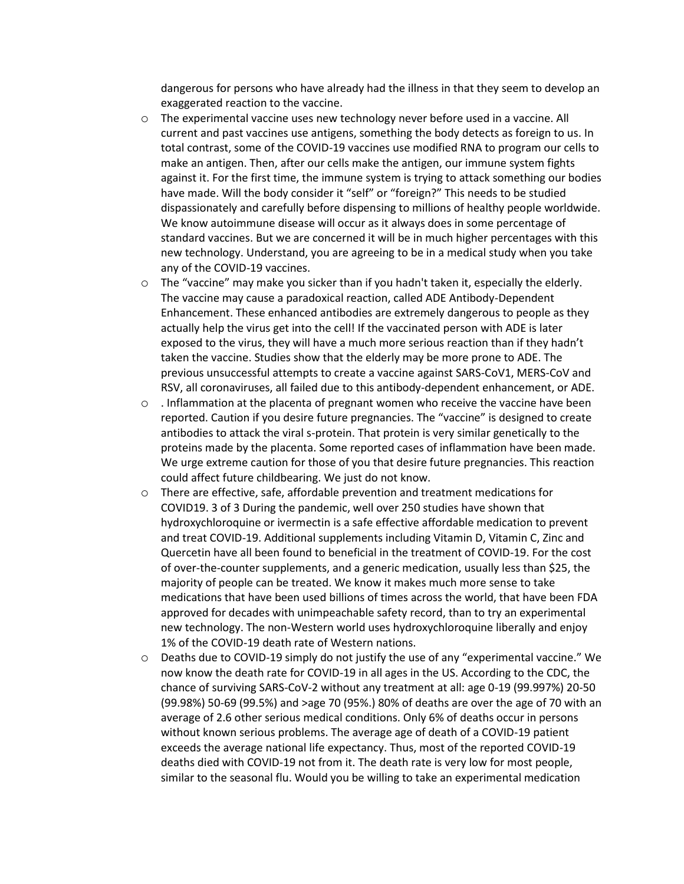dangerous for persons who have already had the illness in that they seem to develop an exaggerated reaction to the vaccine.

- $\circ$  The experimental vaccine uses new technology never before used in a vaccine. All current and past vaccines use antigens, something the body detects as foreign to us. In total contrast, some of the COVID-19 vaccines use modified RNA to program our cells to make an antigen. Then, after our cells make the antigen, our immune system fights against it. For the first time, the immune system is trying to attack something our bodies have made. Will the body consider it "self" or "foreign?" This needs to be studied dispassionately and carefully before dispensing to millions of healthy people worldwide. We know autoimmune disease will occur as it always does in some percentage of standard vaccines. But we are concerned it will be in much higher percentages with this new technology. Understand, you are agreeing to be in a medical study when you take any of the COVID-19 vaccines.
- $\circ$  The "vaccine" may make you sicker than if you hadn't taken it, especially the elderly. The vaccine may cause a paradoxical reaction, called ADE Antibody-Dependent Enhancement. These enhanced antibodies are extremely dangerous to people as they actually help the virus get into the cell! If the vaccinated person with ADE is later exposed to the virus, they will have a much more serious reaction than if they hadn't taken the vaccine. Studies show that the elderly may be more prone to ADE. The previous unsuccessful attempts to create a vaccine against SARS-CoV1, MERS-CoV and RSV, all coronaviruses, all failed due to this antibody-dependent enhancement, or ADE.
- o . Inflammation at the placenta of pregnant women who receive the vaccine have been reported. Caution if you desire future pregnancies. The "vaccine" is designed to create antibodies to attack the viral s-protein. That protein is very similar genetically to the proteins made by the placenta. Some reported cases of inflammation have been made. We urge extreme caution for those of you that desire future pregnancies. This reaction could affect future childbearing. We just do not know.
- o There are effective, safe, affordable prevention and treatment medications for COVID19. 3 of 3 During the pandemic, well over 250 studies have shown that hydroxychloroquine or ivermectin is a safe effective affordable medication to prevent and treat COVID-19. Additional supplements including Vitamin D, Vitamin C, Zinc and Quercetin have all been found to beneficial in the treatment of COVID-19. For the cost of over-the-counter supplements, and a generic medication, usually less than \$25, the majority of people can be treated. We know it makes much more sense to take medications that have been used billions of times across the world, that have been FDA approved for decades with unimpeachable safety record, than to try an experimental new technology. The non-Western world uses hydroxychloroquine liberally and enjoy 1% of the COVID-19 death rate of Western nations.
- o Deaths due to COVID-19 simply do not justify the use of any "experimental vaccine." We now know the death rate for COVID-19 in all ages in the US. According to the CDC, the chance of surviving SARS-CoV-2 without any treatment at all: age 0-19 (99.997%) 20-50 (99.98%) 50-69 (99.5%) and >age 70 (95%.) 80% of deaths are over the age of 70 with an average of 2.6 other serious medical conditions. Only 6% of deaths occur in persons without known serious problems. The average age of death of a COVID-19 patient exceeds the average national life expectancy. Thus, most of the reported COVID-19 deaths died with COVID-19 not from it. The death rate is very low for most people, similar to the seasonal flu. Would you be willing to take an experimental medication